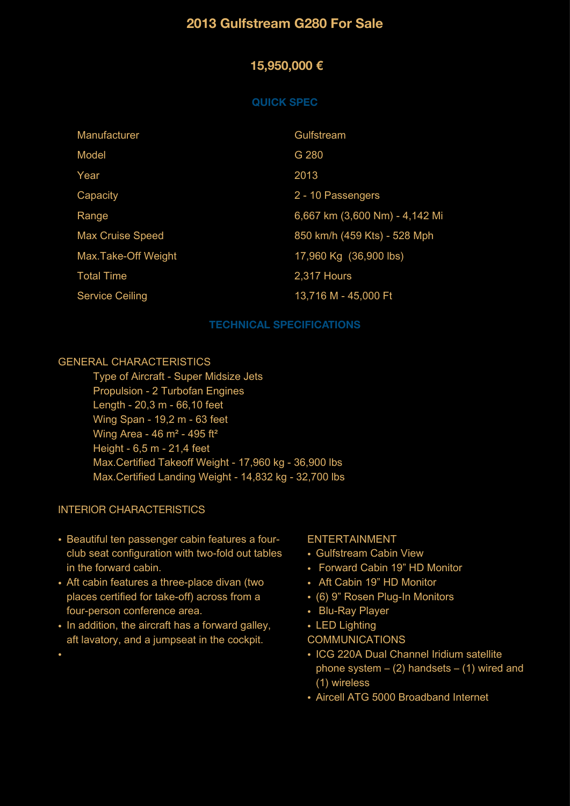# **2013 Gulfstream G280 For Sale**

### **15,950,000 €**

#### **QUICK SPEC**

| Manufacturer            | Gulfstream                     |
|-------------------------|--------------------------------|
| Model                   | G 280                          |
| Year                    | 2013                           |
| Capacity                | 2 - 10 Passengers              |
| Range                   | 6,667 km (3,600 Nm) - 4,142 Mi |
| <b>Max Cruise Speed</b> | 850 km/h (459 Kts) - 528 Mph   |
| Max.Take-Off Weight     | 17,960 Kg (36,900 lbs)         |
| <b>Total Time</b>       | 2,317 Hours                    |
| <b>Service Ceiling</b>  | 13,716 M - 45,000 Ft           |

#### **TECHNICAL SPECIFICATIONS**

#### GENERAL CHARACTERISTICS

 Type of Aircraft - Super Midsize Jets Propulsion - 2 Turbofan Engines Length - 20,3 m - 66,10 feet Wing Span - 19,2 m - 63 feet Wing Area - 46 m² - 495 ft² Height - 6,5 m - 21,4 feet Max.Certified Takeoff Weight - 17,960 kg - 36,900 lbs Max.Certified Landing Weight - 14,832 kg - 32,700 lbs

#### INTERIOR CHARACTERISTICS

•

- Beautiful ten passenger cabin features a fourclub seat configuration with two-fold out tables in the forward cabin.
- Aft cabin features a three-place divan (two places certified for take-off) across from a four-person conference area.
- In addition, the aircraft has a forward galley, aft lavatory, and a jumpseat in the cockpit.

#### ENTERTAINMENT

- Gulfstream Cabin View
- Forward Cabin 19" HD Monitor
- Aft Cabin 19" HD Monitor
- (6) 9" Rosen Plug-In Monitors
- Blu-Ray Player
- LED Liahtina
- COMMUNICATIONS
- ICG 220A Dual Channel Iridium satellite phone system  $-$  (2) handsets  $-$  (1) wired and (1) wireless
- Aircell ATG 5000 Broadband Internet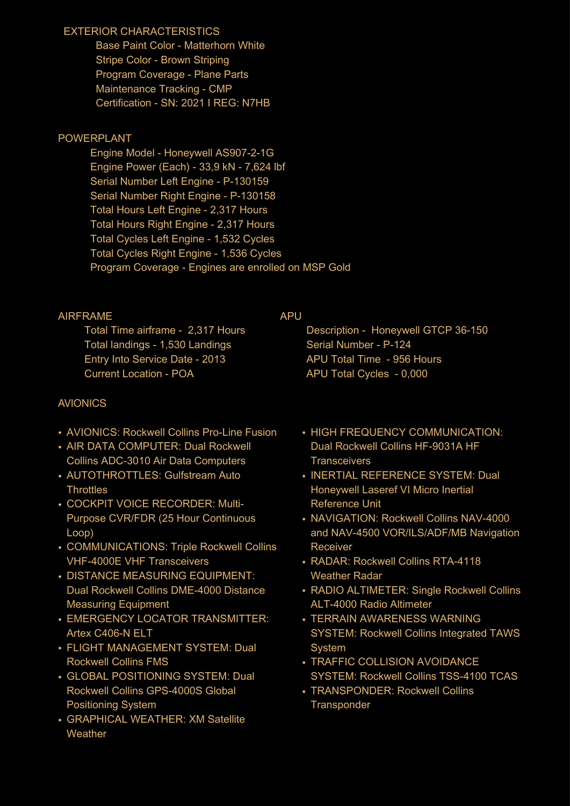## EXTERIOR CHARACTERISTICS

 Base Paint Color - Matterhorn White Stripe Color - Brown Striping Program Coverage - Plane Parts Maintenance Tracking - CMP Certification - SN: 2021 I REG: N7HB

## POWERPLANT

 Engine Model - Honeywell AS907-2-1G Engine Power (Each) - 33,9 kN - 7,624 lbf Serial Number Left Engine - P-130159 Serial Number Right Engine - P-130158 Total Hours Left Engine - 2,317 Hours Total Hours Right Engine - 2,317 Hours Total Cycles Left Engine - 1,532 Cycles Total Cycles Right Engine - 1,536 Cycles Program Coverage - Engines are enrolled on MSP Gold

## AIRFRAME

 Total Time airframe - 2,317 Hours Total landings - 1,530 Landings Entry Into Service Date - 2013 Current Location - POA

# AVIONICS

- AVIONICS: Rockwell Collins Pro-Line Fusion
- AIR DATA COMPUTER: Dual Rockwell Collins ADC-3010 Air Data Computers
- AUTOTHROTTLES: Gulfstream Auto **Throttles**
- COCKPIT VOICE RECORDER: Multi-Purpose CVR/FDR (25 Hour Continuous Loop)
- COMMUNICATIONS: Triple Rockwell Collins VHF-4000E VHF Transceivers
- DISTANCE MEASURING EQUIPMENT: Dual Rockwell Collins DME-4000 Distance Measuring Equipment
- EMERGENCY LOCATOR TRANSMITTER: Artex C406-N ELT
- FLIGHT MANAGEMENT SYSTEM: Dual Rockwell Collins FMS
- GLOBAL POSITIONING SYSTEM: Dual Rockwell Collins GPS-4000S Global Positioning System
- GRAPHICAL WEATHER: XM Satellite **Weather**

### APU

 Description - Honeywell GTCP 36-150 Serial Number - P-124 APU Total Time - 956 Hours APU Total Cycles - 0,000

- HIGH FREQUENCY COMMUNICATION: Dual Rockwell Collins HF-9031A HF **Transceivers**
- INERTIAL REFERENCE SYSTEM: Dual Honeywell Laseref VI Micro Inertial Reference Unit
- NAVIGATION: Rockwell Collins NAV-4000 and NAV-4500 VOR/ILS/ADF/MB Navigation Receiver
- RADAR: Rockwell Collins RTA-4118 Weather Radar
- RADIO ALTIMETER: Single Rockwell Collins ALT-4000 Radio Altimeter
- TERRAIN AWARENESS WARNING SYSTEM: Rockwell Collins Integrated TAWS **System**
- TRAFFIC COLLISION AVOIDANCE SYSTEM: Rockwell Collins TSS-4100 TCAS
- TRANSPONDER: Rockwell Collins **Transponder**